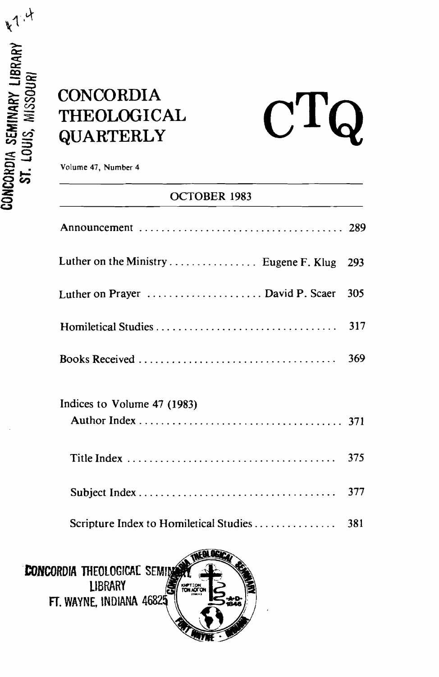## $$ **-3 QUARTERLY**

# $C$ T

**t3 Volume 47, Number 4** 

## **oCTOBER 1983**

| Luther on the Ministry  Eugene F. Klug | 293 |
|----------------------------------------|-----|
| Luther on Prayer  David P. Scaer       | 305 |
| Homiletical Studies                    | 317 |
|                                        | 369 |
| Indices to Volume 47 (1983)            |     |
|                                        | 375 |
|                                        | 377 |
| Scripture Index to Homiletical Studies | 381 |

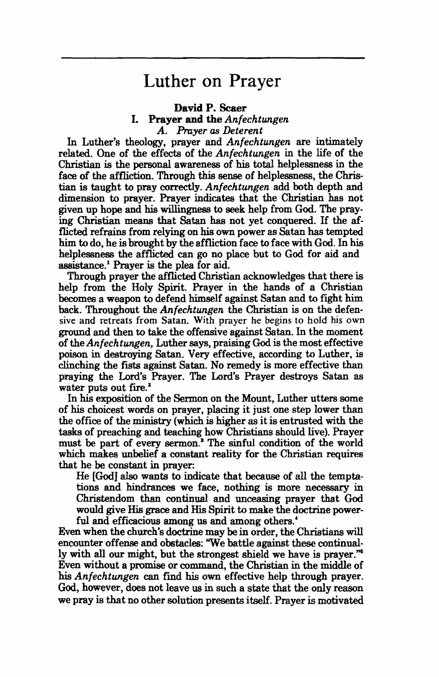### Luther on Prayer

#### **David P. Scaer I.** Prayer and the Anfechtungen **A. Prayer as Deterent**

In Luther's theology, prayer and **Anfechtungen** are intimately related. One of the effects of the **Anfechtungen** in the life of the Christian is the personal awareness of his total helplessness in the face of the affliction. Through this **sense** of helplessness, the **Chris**tian is taught to pray correctly. **Anfechtungen** add both depth and dimension to prayer. Prayer indicates that the Christian **has** not given up hope and his willingness to **seek** help from **God.** The praying Christian means that **Satan** has not yet conquered. If the afflicted refrains from relying on his own power as **Satan** has tempted **him** to do, he is brought by the affliction face to face with God. In **his**  helplessness the afflicted can go no place but to God for aid and assistance.' Prayer is the plea for aid.

Through prayer the afflicted Christian acknowledges that there is help from the Holy Spirit. Prayer in the hands of a Christian **becomes** a weapon to defend himself against Satan and to fight him back. Throughout the **Anfechtungen** the Christian **is** on the defen**sive and retreats from Satan. With prayer he begins to hold his own**  ground and then to take the offensive against **Satan.** In the moment of the **Anfechtungen,** Luther **says,** praising **God** is the most effective poison in destroying **Satan.** Very effective, according to Luther, is clinching the **fists** against Satan. No remedy is more effective than praying the **Lord's** Prayer. The Lord's Prayer destroys Satan as water puts out **fire.'** 

In his exposition of the Sermon on the Mount, Luther utters some of his choicest words on prayer, placing it just one step lower than the office of the ministry (which is higher as it is entrusted with the **tasks** of preaching and teaching how Christians should live). Prayer must be part of every sermon.' The sinful condition of the world which **makes** unbelief a constant **reality** for the Christian **requires**  that he be constant in prayer:

He [God] also wants to indicate that because of all the temptations and **hindrances** we face, nothing is more necessary in Christendom than continual and unceasing prayer that God would give His **grace** and His Spirit to make the doctrine powerful and efficacious among us and among others.'

Even when the church's doctrine may be in order, the **Christians will**  encounter offense and obstacles: 'We battle against these continually with all our might, but the strongest shield we have is prayer." Even without a promise or comm~nd, the **Christian** in the middle of **his Anfechtungen can** find **his** own effective help through prayer. **God,** however, does not leave us in such a **state** that the only reason we pray is that no other solution presents itself. Prayer is motivated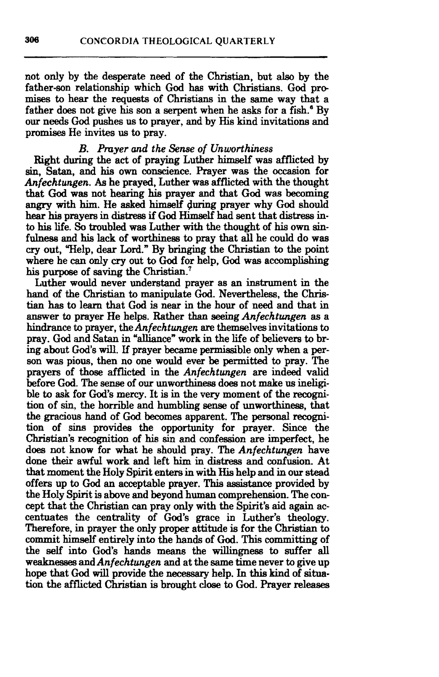not only by the desperate need of the Christian, but **also** by the father-son relationship which God has with Christians. God pro**mises** to hear the requests of Christians in the same way that a father does not give his son a serpent when he asks for a fish.<sup>6</sup> By our needs **God** pushes us to prayer, and by His kind invitations and promises He invites us to pray.

#### *B. Prayer and the Sense of Unworthiness*

Right during the act of praying Luther himself was afflicted by sin, **Satan,** and his own conscience. Prayer **was** the occasion for *Anfechtungen.* As he prayed, Luther **was** afflicted with the thought that **God was** not hearing his prayer **and** that **God** was becoming **angry** with him. He asked **himelf** \$uring prayer why **God** should hear **his** prayers in **distress** if God Himself had sent that **distress** into **his** life. **So** troubled **was** Luther with the thought of **his** own sinfulness and his lack of worthiness to pray that **all** he could do **was cry** out, Welp, dear Lord." By bringing the Christian to the point where he can only **cry** out to God for help, God was accomplishing his purpose of saving the Christian.<sup>7</sup>

Luther would never understand prayer as an instrument in the hand of the Christian to manipulate **God.** Nevertheless, the Christian **has** to learn that God is near in the hour of need and that in answer to prayer He helps. Rather than **seeing** *Anfechtungen* **as** a hindrance to prayer, the *Anfechtungen* are themselves invitations to pray. God and Satan in "alliance" work in the life of believers to bring about God's will. If prayer became permissible only when a person **was** pious, then no one would ever be **permitted** to pray. The prayers of those afflicted in the *Anfechtungen* are indeed valid before **God.** The **sense** of our unworthiness does not make us ineligible to **ask** for God's mercy. It is in the very moment of the **recogni**tion of sin, the horrible and humbling sense of unworthiness, that the **gracious** hand of God becomes apparent. The personal **recogni**tion of **sins** provides the opportunity for prayer. Since the Christian's recognition of **his** sin and confession are imperfect, he does not know for what he should pray. The *Anfechtmgen* have done their awful work and left him in **distress** and confusion. At that moment the Holy Spirit enters in with His help and in our **stead**  offers up to **God** an acceptable prayer. This assistance provided by the **Holy** Spirit is above and beyond human comprehension. The concept that the Christian can pray only with the Spirit's aid again accentuates the centrality of God's grace in Luther's theology. Therefore, in prayer the only proper attitude is for the Christian to commit **himself** entirely **into** the **hands** of **God.** This committing of the **self into God's hands** means the **willingness** to suffer all weaknesses and *Anfechtungen* and at the same time never to give up hope that God will provide the necessary help. In this kind of situation the afflicted Christian is brought **close** to **God.** Prayer releases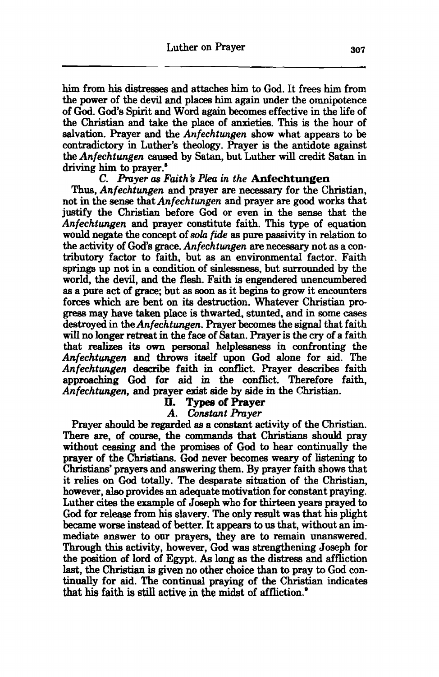him from his distresses and attaches him to God. It frees him from the power of the devil and places him again under the omnipotence of **God.** God's Spirit and Word again becomes effective in the life of the **Christian** and take the place of anxieties. **This** is the hour of salvation. Prayer and the *Anfechtungen* show what appears to be contradictory in Luther's theology. Prayer is the antidote against the *Anfechtungen* caused by *Satan,* but Luther **will** credit Satan in driving him to prayer.<sup>8</sup>

#### *C. Anyer as Faith's Plea in the* **Anfechtungen**

Thus, *Anfechtungen* and prayer *are* necessary for the **Christian,**  not in the *sense* that *Anfechtungen* and prayer *are* good works that justify the Christian before **God** or even in the **sense** that the *Anfechtwrgen* and prayer constitute faith. **This** type of equation would negate the concept of *soh frde* as pure passivity in relation to the activity of God's grace. *Anfechtungen* **are** necessary not as a contributory factor to faith, but as **an** environmenta1 factor. Faith springs up not in a condition of sinlessness, but surrounded by the world, the devil, and the flesh. Faith is engendered unencumbered as a pure act of **grace;** but **as** soon as it **begins** to **grow** it encounters forces which are bent on its destruction. Whatever Christian pro**greas** may have **taken** place is thwarted, stunted, and in some **cases**  destroyed in the *Anfechtungen.* Prayer becomes the signal that faith **will** no longer retreat in the face of Satan. Prayer is the cry of a faith that **realizes** its own **personal** helplessness in confronting the *Anfechtwrgen* and throws **itself** upon God alone for aid. The *Anfechtwrgen* describe faith in **oonflict.** Prayer describes faith approaching **God** for aid in the **conflict.** Therefore faith, *Anfechtwrgen,* and prayer **exist** side by side in the Christian.

#### **Types of Prayer**

#### *A. Constant Prayer*

Prayer should be regarded as a constant activity of the Christian. There are, of course, the commands that **Christians** should pray without **ceasing** and the promises of God to hear continually the prayer of the Christians. God never becomes weary of listening to Christians' prayers and answering them. By prayer faith shows that it relies on God totally. The desparate situation of the **Christian,**  however, also provides an adequate motivation for constant praying. Luther cites the example of Joseph who for thirteen years prayed to God for release from his slavery. The only result was that his plight became worse instead of better. It appears to us that, without an immediate answer to our prayers, they are to remain unanswered. Through this activity, however, **God** was strengthening Joseph for the position of lord of Egypt. As long as the distress and affliction last, the Christian is given no other choice than to pray to God continually for aid. The continual praying of the **Christian** indicates that his faith is still active in the midst of affliction.<sup>\*</sup>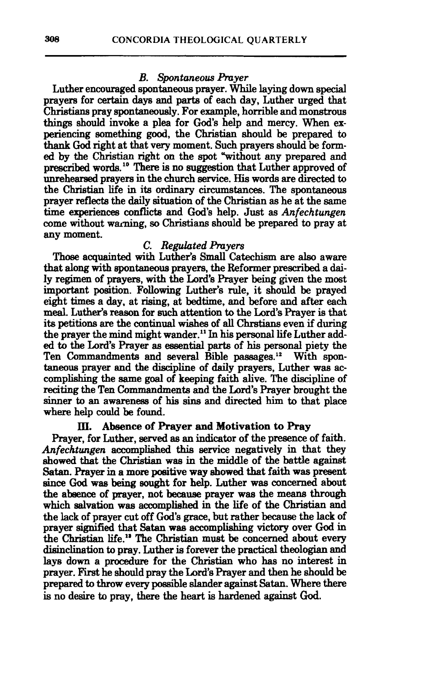#### *B. Spontaneous hyer*

Luther encouraged spontaneous prayer. While laying down special prayers for certain days and parts of each day, Luther urged that Christians pray spontaneously. For example, horrible and monstrous things should invoke a plea for God's help and mercy. When experiencing something good, the **Christian** should be prepared to thank God right at that very moment. Such prayers should be formed by the Christian right on the spot "without any prepared and prescribed words.<sup>10</sup> There is no suggestion that Luther approved of unrehearsed prayers in the church service. His words are directed to the **Christian** life in **its** ordinary **circumstances.** The spontaneous prayer **reflects** the daily situation of the **Christian** as he at the same **time** experiences **conflicts** and **God's** help. Just as *Anfechtungen*  come without warning, **so** Christians should be prepared to pray at any moment.

#### *C. Regulated hyers*

**Those** acquainted with Luther's Small Catechism are also aware **that along** with spontaneous prayers, the Reformer prescribed **a dai-**Iy regimen of prayers, with the Lord's Prayer being given the most important position. Following Luther's rule, it should be prayed eight times **a** day, at rising, at bedtime, and before and after each meal. Luther's reason for such attention to the Lord's Prayer is that its petitions are the continual wishes of **all** Chrstians even if during the prayer the mind might wander." In his personal life Luther added to the **Lord's** Prayer as essential parts of his **personal** piety the Ten Commandments and several Bible passages.<sup>12</sup> With spontaneous prayer and the discipline of daily prayers, Luther was accomplishing the same goal of keeping faith alive. The discipline of reciting the Ten Commandments and the Lord's Prayer brought the sinner to an awareness of his **sins** and **directed** him to that place where help **could** be found.

#### **ID. Absence of** Prayer **and Motivation** to Pray

Prayer, for Luther, **sewed as an** indicator of the presence of faith. *Anfechtungen* accomplished this service negatively in that they **showed** that the Christian **was** in the middle of the battle **against**  Satan. **Prayer** in a **more** positive **way** ahowed **that** faith **was** present **since** God **was** being sought for help. Luther was concerned about the **abaence** of prayer, not **became** prayer was the means through which salvation was accomplished in the life of the **Christian** and the lack of prayer cut off God's grace, but rather because the lack of prayer signified that Satan was accomplishing victory over God in the Christian life." The **Christian** must be concerned about every disinclination to pray. Luther is forever the practical theologian and lays down a procedure for the **Christian** who has no interest in prayer. First he should pray the Lord's Prayer and then he should be prepared to throw every possible slander against Satan. Where there is no desire to pray, there the heart is hardened against **God.**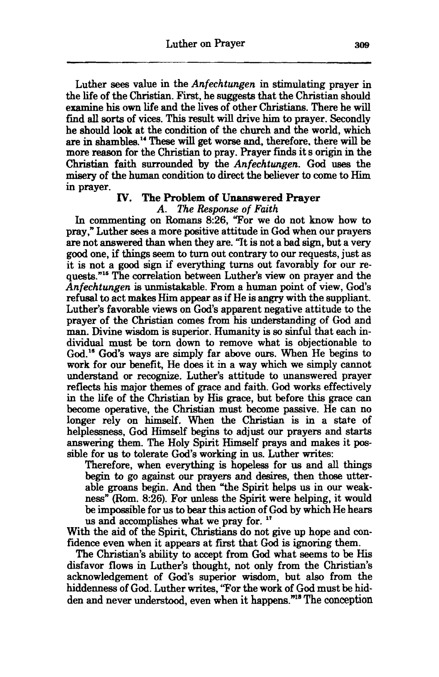Luther **sees** value in the *Anfechtungen* in stimulating prayer in the life of the Christian. First, he suggests that the Christian should examine his own life and the lives of other Christians. There he will find all sorts of vices. This result will drive him to prayer. Secondly he should look at the condition of the church and the world, which are in shambles." **These** wiII get worse **and,** therefore. there **will** be more **reason** for the Christian to pray. Prayer finds it s origin in the Christian faith surrounded by the *Anfechtungen.* **God** uses the misery of the human condition to direct the believer to come to Him in prayer.

#### **IV. The Problem of Unanswered Prayer**

#### *A. The Response of Faith*

In commenting on Romans 8:26, "For we do not know how to pray," Luther **sees** a more positive attitude in **God** when our prayers are not answered than when they are. 'Tt is not a bad sign, but a very **good** one, if things seem to turn out contrary to our requests, just as it is not a good sign if everything turns out favorably for our requests."<sup>15</sup> The correlation between Luther's view on prayer and the *Anfechtungen* is unmistakable. From a human point of view, God's refusal to act **makes** Him appear as if He is angry with the suppliant. Luther's favorable views on **God's** apparent negative attitude to the prayer of the **Christian** comes from his understanding of *God* and man. Divine wisdom is superior. Humanity is so sinful that each individual must be torn down to remove what is objectionable to **God."** God's ways are simply far above ours. When He begins to work for our benefit, He does it in a way which we simply cannot understand or recognize. Luther's attitude to unanswered prayer reflects **his** major themes of grace and faith. **God** works effectively in the life of the **Christian** by **His** grace, but before this grace can become operative, the Christian must become passive. He can no longer rely on himself. When the Christian is in a state of helplessness, **God Himself** begins to adjust our prayers and **starts**  answering them. The Holy Spirit Himself prays and makes it possible for us to tolerate God's working in us. Luther writes:

Therefore, when everything is hopeless for us and all **things begin** to go against our prayers and desires, then **those** utterable **groans** begin. And then "the Spirit helps us in our weakness" (Rom. 8:26). For unless the Spirit were helping, it would be impossible for us to bear this action of **God** by which He hears us **and** accomplishes what we pray for. "

With the aid of the Spirit, Christians do not give up hope and confidence even when it appears at first that God is ignoring them.

The Christian's ability to accept from God what seems to be His disfavor flows in Luther's thought, not only from the Christian's acknowledgement of God's superior wisdom, but also from the hiddenness of God. Luther **writes,** 'Tor the work of **God** must be hidden and never understood, even when it happens."<sup>18</sup> The conception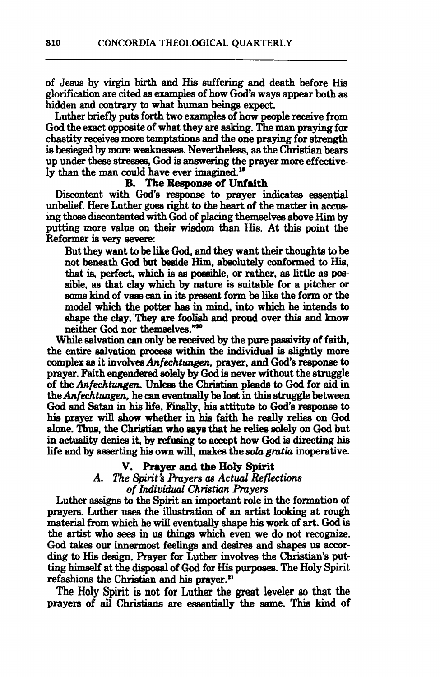of **Jesus** by **virgin** birth and His suffering and death before His glorification **are** cited **as** examples of how **God's** ways appear both as hidden and contrary to what human beings expect.

Luther briefly puts forth two examples of how people receive from God the exact opposite of what they are asking. The man praying for chastity receives more temptations and the one praying for strength is besieged by more weakneaws. Neverthelem, **as** the **Christian** bears up under these **stresses,** God is answering the prayer more effectively than the man could have ever **imagined."** 

#### **B. The Response of Unfaith**

Discontent with **God's response** to prayer indicates essential unbelief. Here **Luther goes** right **to** the **heart** of the **matter** in **accus**ing those discontented with God of placing themselves above Him by putting more value on their wisdom than **His.** At **this** point **the**  Reformer is very severe:

But they want to be like **God,** and they want their thoughta to be not beneath **God** but beside Him, **abao1utely** conformed to His, that is, perfect, which is as possible, or rather, as little as possible, **as** that clay which by **nature** is suitable for a pitcher or some kind of vaae can in **ita** preeent form be like the form or the model which the potter **has** in mind, **into** which he **intends** to **shape** the clay. **'They m foolish and** proud over this **and** know neither God nor themselves."<sup>20</sup>

While salvation can only be received by the pure passivity of faith, the entire salvation procesa within the individual is slightly more complex as it involves *Anfechtungen*, prayer, and God's response to prayer. Faith **engendered** solely by God is never without the struggle of the *Anfechtungen.* **Unless** the Christh pleads to **God** for aid in the *Anfechtzuzgen,* he can eventually be lost in **this struggle** between **God** and **Satan** in **hie** life. Finally, hia attitute to **God's respome** to **hia** prayer will show whether in **hia** faith he really relies on **God**  alone. Thus, the Christian who says that he relies solely on God but in actdity **denies** it, by refusing to accept how **God** is **directing his**  life and by asserting his own will, makes the sola gratia inoperative.

#### **V. Prayer and the Holy** Spirit

*A. The Spirit's hyers as Actual Reflections of Individual Christian Prayers* 

Luther **assigns** to the Spirit **an** important role in the formation of prayers. Luther uses the illustration of an artist looking at rough material from which he **will** eventually **shape his** work of **art. God** is the artist who **sees** in us things which even we do not **recognize. God takes** our innermost feelings and desires and **shapes** us according to **His design.** Prayer for Luther involves the **Christian's** pub ting himself at the disposal of God for His purposes. The Holy Spirit refashions the Christian and his prayer.<sup>21</sup>

The Holy Spirit is not for **Luther the** great **leveler so** that **the**  prayers of **all** Chmtxms . . are essentially the same. **This** kind of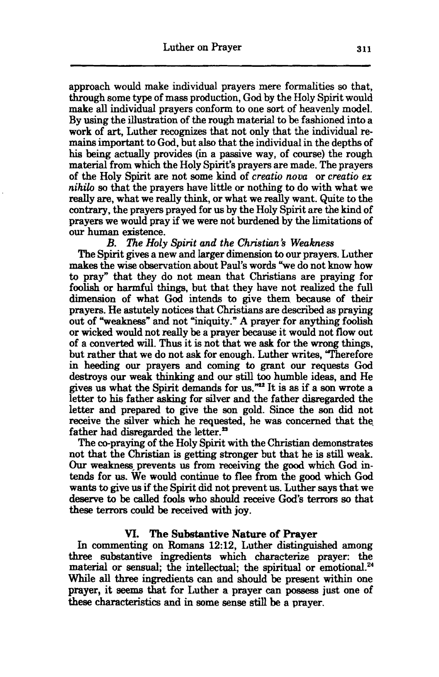approach would make individual prayers mere formalities so that, through some type of mass production, **God** by the Holy Spirit would make **all** individual prayers conform to one sort of heavenly model. By using the illustration of the rough material to be fashioned **into** a work of art, Luther recognizes that not only that the individual remains important to **God,** but **also** that the individual in the depths of **his being** actually provides (in a passive way, of course) the rough material from which the Holy Spirit's prayers are made. The prayers of the Holy Spirit are not some kind of *creatio nova* or *crea tio ex nihilo so* that the prayers have little or nothing to do with what we really are, what we redly think, or what we really want. **Quite** to the **contrary,** the prayers prayed for us by the Holy Spirit are the kind of prayers we would pray if we were not burdened by the limitations of our human existence.<br> $B.$  The Holv

#### *B. The Holy Spirit and the Christian's Weakness*

The Spirit gives a new and Iarger dimension to our prayers. Luther **makes** the wise observation about Paul's words "we do not know how to pray" that they do not **mean** that **Christians** are praying for foolish or harmful things, but that they have not realized the full dimension of what **God** intends to give them because of their prayers. He astutely notices that Christians are described as praying out of "weakness" and not "iniquity." A prayer for anything foolish or wicked would not really be a prayer because it would not flow out of a converted will. **Thus** it is not that we **ask** for the **wrong things,**  but rather that we do not **ask** for enough. Luther writes, "Therefore in heeding our prayers and coming to grant our requests God destroys our **weak** thinking and ow **still too** humble ideas, and He gives us what the Spirit demands for us.\* It **is** as if a son mote a letter to his father asking for silver and the father disregarded the letter and prepared to give the son gold. Since the son did not receive the silver which he requested, he was concerned that the father had disregarded the letter.<sup>23</sup>

The co-praying of the Holy Spirit with the Christian demonstrates not that the **Christian** is getting stronger but that he is **still** weak. **Our** weakness, prevents us from receiving the **good wkich** God intends for us. We wad continue to **flee** from the good which **God**  wants to give us if the Spirit did not prevent **us.** Luther **says** that we deserve to be called fools who should receive God's terrors so that **these terrors could** be received with **joy.** 

#### **M. The Substantive Nature of Prayer**

In commenting on **Romans** 12:12, Luther **distingwhed** among three substantive ingredients which characterize prayer: the material or sensual; the intellectual; the spiritual or emotional.<sup>24</sup> While all three ingredients **can** and should be present within one prayer, it seems that for Luther a prayer can **possess** just one of **these** charaktics **and** in some sense **still** be a prayer.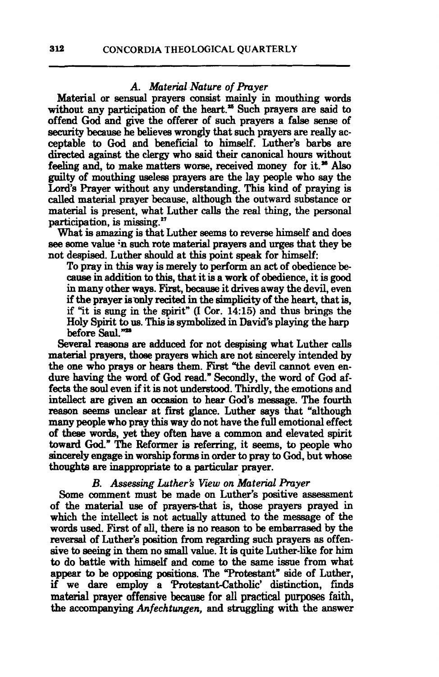#### A. Material Nature of Prayer

Material or **sensual** prayers consist mainly in mouthing words without any participation of the heart.<sup>25</sup> Such prayers are said to offend **God and** give the offerer of such prayers a false **sense** of security because he believes wrongly that such prayers are really acceptable to God and beneficial to himself. Luther's barbs are directed against the clergy who said their canonical hours without feeling and, to make matters worse, received money for it.<sup>26</sup> Also guilty of mouthing **useless** prayers **are** the **lay** people who say the Lord's Prayer without any understanding. This kind of praying is called material prayer because, although the outward substance or material is present, what Luther calls the real thing, the personal participation, is missing."

What is **amazing** is that Luther **seems** to reverse himself and does **see** some value **;n** such **rote material** prayers and **urges** that they be not despised. Luther should at this point speak for himself:

To pray in **this** way is merely to perform an act of obedience be**cause** in addition to this, that it is a work of obedience, it is good in many other **ways.** First, **because** it drives away the devil, even if the prayer is only recited in the simplicity of the heart, that is, if "it is **sung** in the spirit" (I Cor. **1495)** and thus brings the Holy Spirit to us. This **is symboIized** in David's playing the harp before Saul."<sup>28</sup>

Several reasons are adduced for not despising what Luther calls material prayers, those prayers which are not sincerely intended by the one who prays or hears them. First "the devil cannot even endure having the word of **God** read." Secondly, the word of God affects the **soul** even if it is not understood. Thirdly, the emotions and intellect **are given** an occaeion to hear **God's** message. The fourth reason seems unclear at first glance. Luther says that "although many people who pray this way do not have the full emotional effect of these words, yet they often have a common and elevated spirit toward **God."** The Reformer is referring, it **seems,** to people who **sincerely** engage in worship forms in order to pray to God, but whose thoughts are inappropriate to a particular prayer.

#### *B. Assessing Luther's Viw on Material Pruyer*

Some comment must be made on Luther's positive assessment of the material use of prayers-that is, those prayers prayed in which the intellect is not actually attuned to the message of the words used. First of all, there is no reason to be embarrased by the **reversal** of Luther's poaition from regarding such prayers as offenwords used. First of all, there is no reason to be embarrased by the reversal of Luther's position from regarding such prayers as offensive to seeing in them no small value. It is quite Luther-like for him to do battle wit to do battle with himself **and** come to the same issue from what appear to be opposing positions. The "Protestant" side of Luther, if we dare employ a **Protestant-Catholic'** distinction, finds **material prayer offensive because for all practical purposes faith,** the accompanying *Anfechtungen*, and struggling with the answer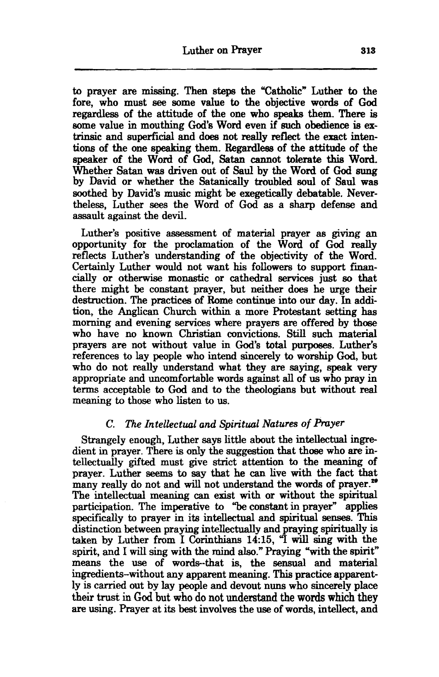to prayer are missing. Then steps the "Catholic" Luther to the fore, who must see some value to the objective words of God regardless of the attitude of the one who **speaks** them. There is some value in mouthing God's Word even if such obedience **is** extrinsic and superficial and does not really reflect the exact intentiom of the one **speaking** them. **Regardless** of the attitude of the speaker of the Word of God, Satan cannot tolerate this Word. Whether Satan was driven out of Saul by the Word of God **sung**  by David or whether the Satanically troubled soul of Saul was **soothed** by David's music might be exegetically debatable. Nevertheless, Luther **sees** the Word of **God** as a sharp defense and assault against the devil.

Luther's positive assessment of material prayer as giving an opportunity for the proclamation of the Word of God really reflects Luther's understanding of the objectivity of the Word. Certainly Luther would not want his followers to support financially or otherwise monastic or cathedral services just **so** that there might be constant prayer, but neither does he urge their destruction. The practices of Rome continue **into** our day. In addition, the **Anglican** Church **within** a more Protestant setting **has**  morning and evening services where prayers are offered by those who have no known Christian convictions. Still such **material**  prayers are not without value in **God's total** purposes. Luther's references to lay people who intend sincerely to worship **God,** but who do not really understand what they are saying, **speak** very appropriate and uncomfortable words against **all** of us who pray in **terms** acceptable to God and to the theologians but without real meaning to those who **listen** to us.

#### **C.** *The Intellectual* **and** *Spiritual Natures of Prayer*

Strangely enough, Luther says little about the intellectual ingredient in prayer. There is only the suggestion that **those** who are intellectually **gifted** must give strict attention to the meaning of prayer. Luther seems to say that he **can** live with the fact that many really do not and will not understand the words of prayer.<sup>29</sup> The intellectual **meaning** can exist with or without the spiritual participation. The imperative to "be constant in prayer" applies specificidly to prayer in its intellectual and spiritual senses. **This**  distinction between praying intellectually and praying spiritually is taken by Luther from I **Corinthians 14:15,** "I will sing with the spirit, and I will sing with the mind **also."** Praying "with the spirit" means the use of words--that is, the **sensual** and material ingredients-without any apparent meaning. **This** practice apparently is carried out by lay people and devout nuns who sincerely place their trust in **God but who do not understand the words** which they are using. Prayer at its best involves the use of words, intellect, and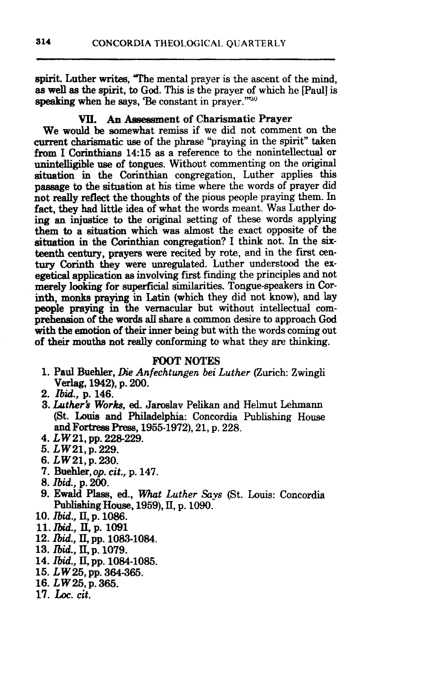spirit. Luther writes, **The** mental prayer is the ascent of the mind, as well **as** the spirit, to **God. This** is the prayer of which he [Paul] is speaking when he says, 'Be constant in prayer."<sup>730</sup>

#### **VII.** An **Assessment** of Charismatic Prayer

We would be somewhat remiss if we did not comment on the current charismatic use of the phrase "praying in the spirit" taken from I Corinthians **14:15 as** a reference to the nonintellectual or unintelligible use **of** tongues. Without commenting on the original situstion in the Corinthian congregation, Luther applies this passage to the situation at his time where the words of prayer did not really reflect the thoughts of the pious people praying them. In **fact,** they had **littie** idea of what the words meant. **Was** Luther de ing an injustice to the original setting of these words applying them to a situation which **was** almost the exact opposite of the situation in the **Corinthian** congregation? I think not. In the **six**teenth **century,** prayers were recited by rote, and in the first century **Corinth they** were unregulated. Luther understood the exegetical **application** as involving first **finding** the principles and not merely **looking** for superficial similarities. Tongue-speakers in Corinth, **monks praying in Latin** (which they did not know), and lay people **praying** in the vernacular but without intellectual comprehension of the words **all** share a common desire **to** approach **God**  with the emotion of their inner being but with the words coming out of their mouths not really conforming to what they are thinking.

#### **FOOT NOTES**

- **1. Paul** Buehler, **Die** Anfechtungen *bei Luther* (Zurich: Zwingli **Verlag, 1942), p. 200.**
- **2.** *Ibid.,* **p. 146.**
- **3. Luther's Works, ed. Jaroslav Pelikan and Helmut Lehmann** (St. **Louis** and **Philadelphia:** Concordia **Publishing** House and Fortress Press, **1955-1972), 21,** p. **228.**
- **4.** *LW* 21, pp. 228-229.
- **5.** *L* **W 21, p. 229.**
- **6.** *L W* **21, p. 230.**
- **7. Bdkr,op. cit.,** p. **147.**
- 8. *Ibid.,* **p.** 200.
- *9.* **Ewald Ph,** *ed., What Luther* **Says** (St. **Louis:** Concordia Publishing House, **1959), 11,** p. **1090.**
- **10.** *Ibid.,* **II., p. 1086.**
- **11.** *Bid.,* **II, p. 1091**
- **12. &id., 11, pp. 1083-1084.**
- **13.** *&id.,* **11, p. 1079.**
- **14.** *Ibid.,* **II., pp. 1084-1085.**
- **15.** *LW* **25, pp. 364-3s.**
- **16.**  $LW25$ , p. 365.<br> **17.** *hoc. cit.*
-